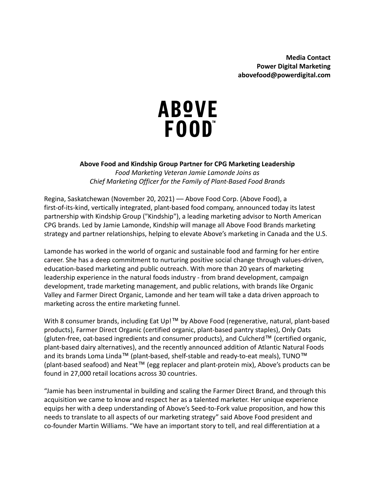# **ABOVE** FOOD"

**Above Food and Kindship Group Partner for CPG Marketing Leadership** *Food Marketing Veteran Jamie Lamonde Joins as Chief Marketing Officer for the Family of Plant-Based Food Brands*

Regina, Saskatchewan (November 20, 2021) –– Above Food Corp. (Above Food), a first-of-its-kind, vertically integrated, plant-based food company, announced today its latest partnership with Kindship Group ("Kindship"), a leading marketing advisor to North American CPG brands. Led by Jamie Lamonde, Kindship will manage all Above Food Brands marketing strategy and partner relationships, helping to elevate Above's marketing in Canada and the U.S.

Lamonde has worked in the world of organic and sustainable food and farming for her entire career. She has a deep commitment to nurturing positive social change through values-driven, education-based marketing and public outreach. With more than 20 years of marketing leadership experience in the natural foods industry - from brand development, campaign development, trade marketing management, and public relations, with brands like Organic Valley and Farmer Direct Organic, Lamonde and her team will take a data driven approach to marketing across the entire marketing funnel.

With 8 consumer brands, including Eat Up!™ by Above Food (regenerative, natural, plant-based products), Farmer Direct Organic (certified organic, plant-based pantry staples), Only Oats (gluten-free, oat-based ingredients and consumer products), and Culcherd™ (certified organic, plant-based dairy alternatives), and the recently announced addition of Atlantic Natural Foods and its brands Loma Linda™ (plant-based, shelf-stable and ready-to-eat meals), TUNO™ (plant-based seafood) and Neat™ (egg replacer and plant-protein mix), Above's products can be found in 27,000 retail locations across 30 countries.

"Jamie has been instrumental in building and scaling the Farmer Direct Brand, and through this acquisition we came to know and respect her as a talented marketer. Her unique experience equips her with a deep understanding of Above's Seed-to-Fork value proposition, and how this needs to translate to all aspects of our marketing strategy" said Above Food president and co-founder Martin Williams. "We have an important story to tell, and real differentiation at a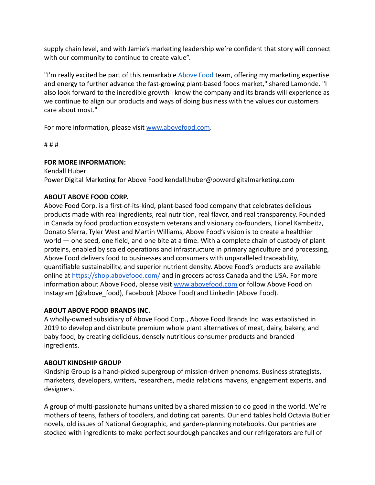supply chain level, and with Jamie's marketing leadership we're confident that story will connect with our community to continue to create value".

"I'm really excited be part of this remarkable [Above](https://abovefood.com/) Food team, offering my marketing expertise and energy to further advance the fast-growing plant-based foods market," shared Lamonde. "I also look forward to the incredible growth I know the company and its brands will experience as we continue to align our products and ways of doing business with the values our customers care about most."

For more information, please visit [www.abovefood.com.](http://www.abovefood.com)

# # #

## **FOR MORE INFORMATION:**

Kendall Huber Power Digital Marketing for Above Food kendall.huber@powerdigitalmarketing.com

## **ABOUT ABOVE FOOD CORP.**

Above Food Corp. is a first-of-its-kind, plant-based food company that celebrates delicious products made with real ingredients, real nutrition, real flavor, and real transparency. Founded in Canada by food production ecosystem veterans and visionary co-founders, Lionel Kambeitz, Donato Sferra, Tyler West and Martin Williams, Above Food's vision is to create a healthier world — one seed, one field, and one bite at a time. With a complete chain of custody of plant proteins, enabled by scaled operations and infrastructure in primary agriculture and processing, Above Food delivers food to businesses and consumers with unparalleled traceability, quantifiable sustainability, and superior nutrient density. Above Food's products are available online at [https://shop.abovefood.com/](http://www.shop.abovefood.com) and in grocers across Canada and the USA. For more information about Above Food, please visit [www.abovefood.com](http://www.abovefood.com) or follow Above Food on Instagram (@above\_food), Facebook (Above Food) and LinkedIn (Above Food).

### **ABOUT ABOVE FOOD BRANDS INC.**

A wholly-owned subsidiary of Above Food Corp., Above Food Brands Inc. was established in 2019 to develop and distribute premium whole plant alternatives of meat, dairy, bakery, and baby food, by creating delicious, densely nutritious consumer products and branded ingredients.

### **ABOUT KINDSHIP GROUP**

Kindship Group is a hand-picked supergroup of mission-driven phenoms. Business strategists, marketers, developers, writers, researchers, media relations mavens, engagement experts, and designers.

A group of multi-passionate humans united by a shared mission to do good in the world. We're mothers of teens, fathers of toddlers, and doting cat parents. Our end tables hold Octavia Butler novels, old issues of National Geographic, and garden-planning notebooks. Our pantries are stocked with ingredients to make perfect sourdough pancakes and our refrigerators are full of